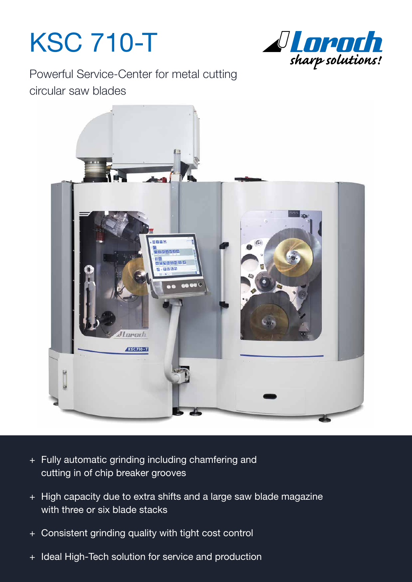# KSC 710-T



Powerful Service-Center for metal cutting circular saw blades



- + Fully automatic grinding including chamfering and cutting in of chip breaker grooves
- + High capacity due to extra shifts and a large saw blade magazine with three or six blade stacks
- + Consistent grinding quality with tight cost control
- + Ideal High-Tech solution for service and production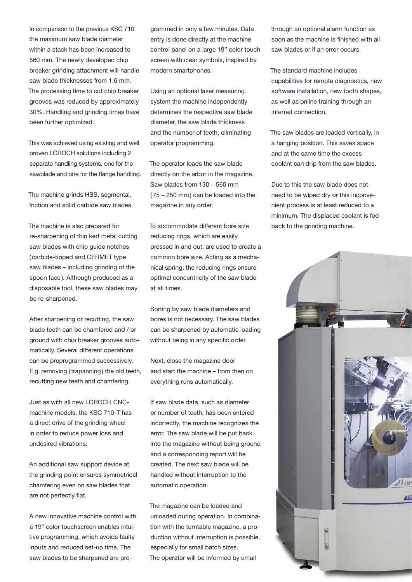In comparison to the previous KSC 710 the maximum saw blade diameter within a stack has been increased to 560 mm. The newly developed chip breaker grinding attachment will handle saw blade thicknesses from 1.6 mm. The processing time to cut chip breaker grooves was reduced by approximately 30%. Handling and grinding times have been further optimized.

This was achieved using existing and well proven LOROCH solutions including 2 separate handling systems, one for the sawblade and one for the flange handling.

The machine grinds HSS, segmental, friction and solid carbide saw blades.

The machine is also prepared for re-sharpening of thin kerf metal cutting saw blades with chip quide notches (carbide-tipped and CERMET type saw blades – including grinding of the spoon face). Although produced as a disposable tool, these saw blades may be re-sharpened.

After sharpening or recutting, the saw blade teeth can be chamfered and / or ground with chip breaker grooves automatically. Several different operations can be preprogrammed successively. E.g. removing (trapanning) the old teeth, recutting new teeth and chamfering.

Just as with all new LOROCH CNCmachine models, the KSC 710-T has a direct drive of the grinding wheel in order to reduce power loss and undesired vibrations.

An additional saw support device at the grinding point ensures symmetrical chamfering even on saw blades that are not perfectly flat.

A new innovative machine control with a 19" color touchscreen enables intuitive programming, which avoids faulty inputs and reduced set-up time. The saw blades to be sharpened are programmed in only a few minutes. Data entry is done directly at the machine control panel on a large 19" color touch screen with clear symbols, inspired by modern smartphones.

Using an optional laser measuring system the machine independently determines the respective saw blade diameter, the saw blade thickness and the number of teeth, eliminating operator programming.

The operator loads the saw blade directly on the arbor in the magazine. Saw blades from 130 – 560 mm (75 – 250 mm) can be loaded into the magazine in any order.

To accommodate different bore size reducing rings, which are easily pressed in and out, are used to create a common bore size. Acting as a mechanical spring, the reducing rings ensure optimal concentricity of the saw blade at all times.

Sorting by saw blade diameters and bores is not necessary. The saw blades can be sharpened by automatic loading without being in any specific order.

Next, close the magazine door and start the machine – from then on everything runs automatically.

If saw blade data, such as diameter or number of teeth, has been entered incorrectly, the machine recognizes the error. The saw blade will be put back into the magazine without being ground and a corresponding report will be created. The next saw blade will be handled without interruption to the automatic operation.

The magazine can be loaded and unloaded during operation. In combination with the turntable magazine, a production without interruption is possible, especially for small batch sizes. The operator will be informed by email

through an optional alarm function as soon as the machine is finished with all saw blades or if an error occurs.

The standard machine includes capabilities for remote diagnostics, new software installation, new tooth shapes, as well as online training through an internet connection.

The saw blades are loaded vertically, in a hanging position. This saves space and at the same time the excess coolant can drip from the saw blades.

Due to this the saw blade does not need to be wiped dry or this inconvenient process is at least reduced to a minimum. The displaced coolant is fed back to the grinding machine.

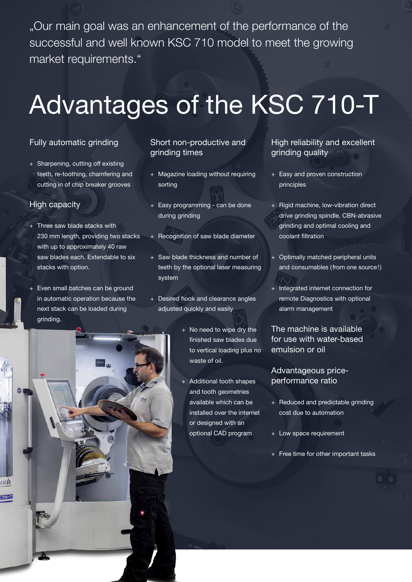"Our main goal was an enhancement of the performance of the successful and well known KSC 710 model to meet the growing market requirements."

## Advantages of the KSC 710-T

#### Fully automatic grinding

+ Sharpening, cutting off existing teeth, re-toothing, chamfering and cutting in of chip breaker grooves

#### High capacity

 $-710 - T$ 

- + Three saw blade stacks with 230 mm length, providing two stacks with up to approximately 40 raw saw blades each. Extendable to six stacks with option.
- + Even small batches can be ground in automatic operation because the next stack can be loaded during grinding.

#### Short non-productive and grinding times

- + Magazine loading without requiring sorting
- + Easy programming can be done during grinding
- Recognition of saw blade diameter
- + Saw blade thickness and number of teeth by the optional laser measuring system
- + Desired hook and clearance angles adjusted quickly and easily
	- + No need to wipe dry the finished saw blades due to vertical loading plus no waste of oil.
	- Additional tooth shapes and tooth geometries available which can be installed over the internet or designed with an optional CAD program

#### High reliability and excellent grinding quality

- + Easy and proven construction principles
- + Rigid machine, low-vibration direct drive grinding spindle, CBN-abrasive grinding and optimal cooling and coolant filtration
- Optimally matched peripheral units and consumables (from one source!)
- + Integrated internet connection for remote Diagnostics with optional alarm management

#### The machine is available for use with water-based emulsion or oil

#### Advantageous priceperformance ratio

- + Reduced and predictable grinding cost due to automation
- Low space requirement
- + Free time for other important tasks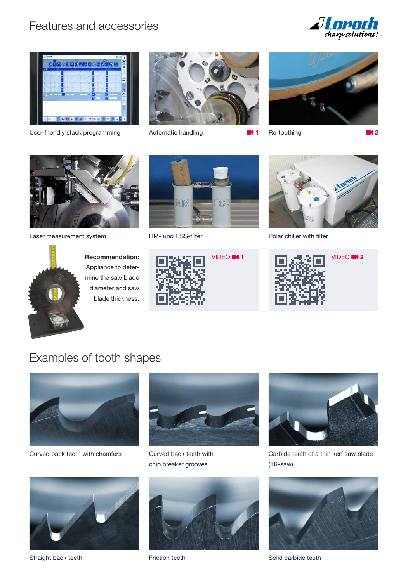### Features and accessories





User-friendly stack programming Automatic handling **1** Re-toothing **1 2** 







Laser measurement system HM- und HSS-filter Polar chiller with filter







**Recommendation:**  Appliance to determine the saw blade diameter and saw blade thickness.







### Examples of tooth shapes



Curved back teeth with chamfers



Curved back teeth with chip breaker grooves



Carbide teeth of a thin kerf saw blade (TK-saw)



Straight back teeth



Friction teeth



Solid carbide teeth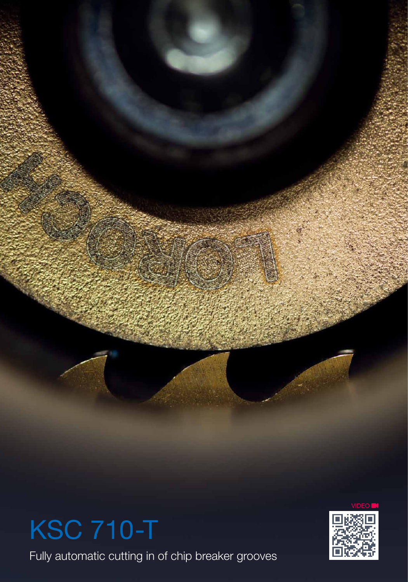



Fully automatic cutting in of chip breaker grooves